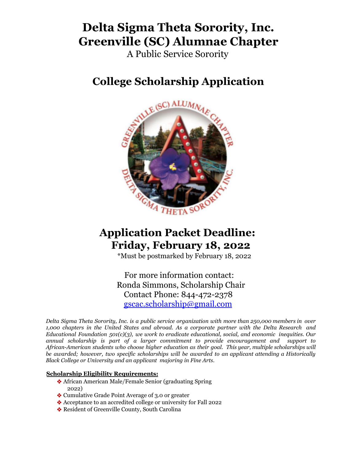# **Delta Sigma Theta Sorority, Inc. Greenville (SC) Alumnae Chapter**

A Public Service Sorority

# **College Scholarship Application**



## **Application Packet Deadline: Friday, February 18, 2022**

\*Must be postmarked by February 18, 2022

For more information contact: Ronda Simmons, Scholarship Chair Contact Phone: 844-472-2378 gscac.scholarship@gmail.com

*Delta Sigma Theta Sorority, Inc. is a public service organization with more than 250,000 members in over 1,000 chapters in the United States and abroad. As a corporate partner with the Delta Research and Educational Foundation 501(c)(3), we work to eradicate educational, social, and economic inequities. Our annual scholarship is part of a larger commitment to provide encouragement and support to African-American students who choose higher education as their goal. This year, multiple scholarships will be awarded; however, two specific scholarships will be awarded to an applicant attending a Historically Black College or University and an applicant majoring in Fine Arts.*

#### **Scholarship Eligibility Requirements:**

- ❖ African American Male/Female Senior (graduating Spring 2022)
- ❖ Cumulative Grade Point Average of 3.0 or greater
- ❖ Acceptance to an accredited college or university for Fall 2022
- ❖ Resident of Greenville County, South Carolina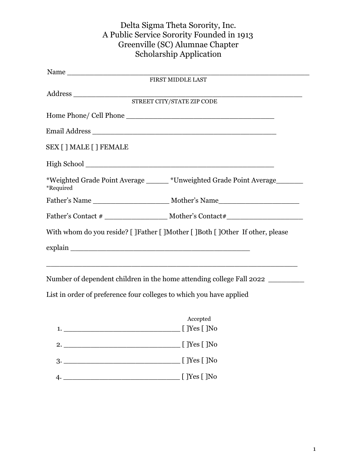## Delta Sigma Theta Sorority, Inc. A Public Service Sorority Founded in 1913 Greenville (SC) Alumnae Chapter Scholarship Application

| SEX [ ] MALE [ ] FEMALE |                                                                                |
|-------------------------|--------------------------------------------------------------------------------|
|                         |                                                                                |
| *Required               | *Weighted Grade Point Average ______ *Unweighted Grade Point Average_______    |
|                         |                                                                                |
|                         |                                                                                |
|                         | With whom do you reside? [ ]Father [ ]Mother [ ]Both [ ]Other If other, please |
|                         |                                                                                |
|                         |                                                                                |
|                         |                                                                                |

Number of dependent children in the home attending college Fall 2022 \_\_\_\_\_\_\_\_\_\_\_

List in order of preference four colleges to which you have applied

| 1. | Accepted<br>[ ] Yes [ ] No |
|----|----------------------------|
| 2. | [ ]Yes [ ]No               |
| 3. | [ ]Yes [ ]No               |
|    | [ ]Yes [ ]No               |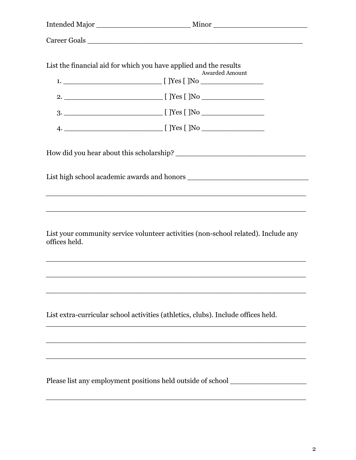|               | Career Goals                                                                               |
|---------------|--------------------------------------------------------------------------------------------|
|               |                                                                                            |
|               | List the financial aid for which you have applied and the results<br><b>Awarded Amount</b> |
|               |                                                                                            |
|               |                                                                                            |
|               |                                                                                            |
|               |                                                                                            |
|               |                                                                                            |
|               |                                                                                            |
|               | <u> 1989 - Johann Barbara, martxa alemaniar argumentuar argumenti (h. 1989).</u>           |
| offices held. | List your community service volunteer activities (non-school related). Include any         |
|               |                                                                                            |
|               |                                                                                            |
|               | List extra-curricular school activities (athletics, clubs). Include offices held.          |
|               |                                                                                            |
|               |                                                                                            |
|               | Please list any employment positions held outside of school ____________________           |

\_\_\_\_\_\_\_\_\_\_\_\_\_\_\_\_\_\_\_\_\_\_\_\_\_\_\_\_\_\_\_\_\_\_\_\_\_\_\_\_\_\_\_\_\_\_\_\_\_\_\_\_\_\_\_\_\_\_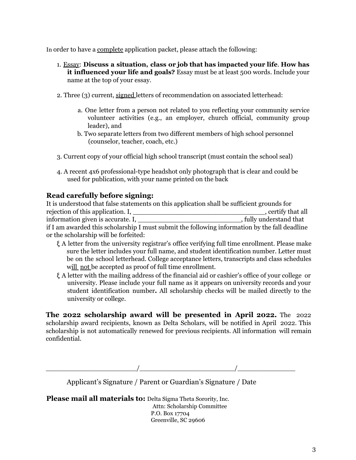In order to have a complete application packet, please attach the following:

- 1. Essay: **Discuss a situation, class or job that has impacted your life**. **How has it influenced your life and goals?** Essay must be at least 500 words. Include your name at the top of your essay.
- 2. Three (3) current, signed letters of recommendation on associated letterhead:
	- a. One letter from a person not related to you reflecting your community service volunteer activities (e.g., an employer, church official, community group leader), and
	- b. Two separate letters from two different members of high school personnel (counselor, teacher, coach, etc.)
- 3. Current copy of your official high school transcript (must contain the school seal)
- 4. A recent 4x6 professional-type headshot only photograph that is clear and could be used for publication, with your name printed on the back

### **Read carefully before signing:**

It is understood that false statements on this application shall be sufficient grounds for rejection of this application. I, \_\_\_\_\_\_\_\_\_\_\_\_\_\_\_\_\_\_\_\_\_\_\_\_\_\_\_\_\_\_\_\_, certify that all information given is accurate. I, the same state of the state of the state of the state of the state of the state of the state of the state of the state of the state of the state of the state of the state of the state of t if I am awarded this scholarship I must submit the following information by the fall deadline or the scholarship will be forfeited:

- ξ A letter from the university registrar's office verifying full time enrollment. Please make sure the letter includes your full name, and student identification number. Letter must be on the school letterhead. College acceptance letters, transcripts and class schedules will not be accepted as proof of full time enrollment.
- ξ A letter with the mailing address of the financial aid or cashier's office of your college or university. Please include your full name as it appears on university records and your student identification number**.** All scholarship checks will be mailed directly to the university or college.

**The 2022 scholarship award will be presented in April 2022.** The 2022 scholarship award recipients, known as Delta Scholars, will be notified in April 2022. This scholarship is not automatically renewed for previous recipients. All information will remain confidential.